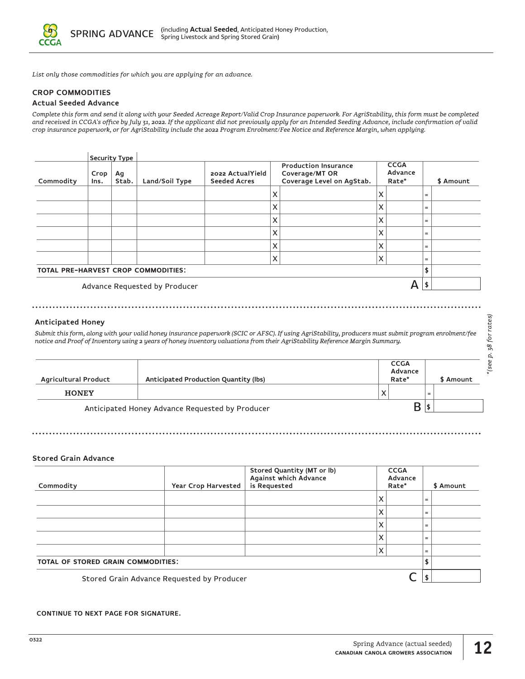

*List only those commodities for which you are applying for an advance.* 

### **CROP COMMODITIES**

### **Actual Seeded Advance**

*Complete this form and send it along with your Seeded Acreage Report/Valid Crop Insurance paperwork. For AgriStability, this form must be completed and received in CCGA's office by July 31, 2022. If the applicant did not previously apply for an Intended Seeding Advance, include confirmation of valid crop insurance paperwork, or for AgriStability include the 2022 Program Enrolment/Fee Notice and Reference Margin, when applying.* 

| Commodity                                  | Crop<br>Ins. | <b>Security Type</b><br>Ag<br>Stab. | Land/Soil Type | 2022 Actual Yield<br><b>Seeded Acres</b> |   | <b>Production Insurance</b><br>Coverage/MT OR<br>Coverage Level on AgStab. |   | <b>CCGA</b><br>Advance<br>Rate* |     | \$ Amount |
|--------------------------------------------|--------------|-------------------------------------|----------------|------------------------------------------|---|----------------------------------------------------------------------------|---|---------------------------------|-----|-----------|
|                                            |              |                                     |                |                                          | X |                                                                            | X |                                 | $=$ |           |
|                                            |              |                                     |                |                                          | X |                                                                            | x |                                 | $=$ |           |
|                                            |              |                                     |                |                                          | X |                                                                            | X |                                 | $=$ |           |
|                                            |              |                                     |                |                                          | X |                                                                            | X |                                 | $=$ |           |
|                                            |              |                                     |                |                                          | X |                                                                            | X |                                 | $=$ |           |
|                                            |              |                                     |                |                                          | X |                                                                            | Χ |                                 | $=$ |           |
| <b>TOTAL PRE-HARVEST CROP COMMODITIES:</b> |              |                                     |                |                                          |   | \$                                                                         |   |                                 |     |           |

Advance Requested by Producer  $\mathsf{A}$   $\mathsf{S}$ 

#### **Anticipated Honey**

*Submit this form, along with your valid honey insurance paperwork (SCIC or AFSC). If using AgriStability, producers must submit program enrolment/fee notice and Proof of Inventory using 2 years of honey inventory valuations from their AgriStability Reference Margin Summary.* 

| <b>Agricultural Product</b>                     | Anticipated Production Quantity (lbs) |   | <b>CCGA</b><br>Advance<br>Rate* | \$ Amount |
|-------------------------------------------------|---------------------------------------|---|---------------------------------|-----------|
| <b>HONEY</b>                                    |                                       | X |                                 | $=$       |
| Anticipated Honey Advance Requested by Producer |                                       |   |                                 |           |

# **Stored Grain Advance**

| Commodity                                  | Year Crop Harvested | Stored Quantity (MT or lb)<br>Against which Advance<br>is Requested | <b>CCGA</b><br>Advance<br>Rate* |  | \$ Amount |  |
|--------------------------------------------|---------------------|---------------------------------------------------------------------|---------------------------------|--|-----------|--|
|                                            |                     |                                                                     | x                               |  | $=$       |  |
|                                            |                     |                                                                     | x                               |  | $=$       |  |
|                                            |                     |                                                                     | x                               |  | $=$       |  |
|                                            |                     |                                                                     | x                               |  | $=$       |  |
|                                            |                     |                                                                     | x                               |  | $=$       |  |
| <b>TOTAL OF STORED GRAIN COMMODITIES:</b>  |                     |                                                                     |                                 |  |           |  |
| Stored Grain Advance Requested by Producer |                     |                                                                     |                                 |  |           |  |

**CONTINUE TO NEXT PAGE FOR SIGNATURE.**